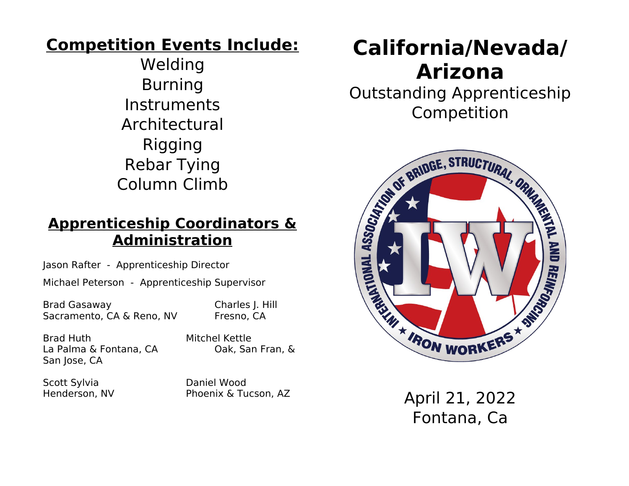### **Competition Events Include:**

Welding Burning Instruments Architectural Rigging Rebar Tying Column Climb

### **Apprenticeship Coordinators & Administration**

Jason Rafter - Apprenticeship Director

Michael Peterson - Apprenticeship Supervisor

Brad Gasaway Charles J. Hill Sacramento, CA & Reno, NV Fresno, CA

Brad Huth Mitchel Kettle La Palma & Fontana, CA Cak, San Fran, & San Jose, CA

Scott Sylvia Daniel Wood

Henderson, NV Phoenix & Tucson, AZ

# **California/Nevada/ Arizona**

Outstanding Apprenticeship Competition



April 21, 2022 Fontana, Ca